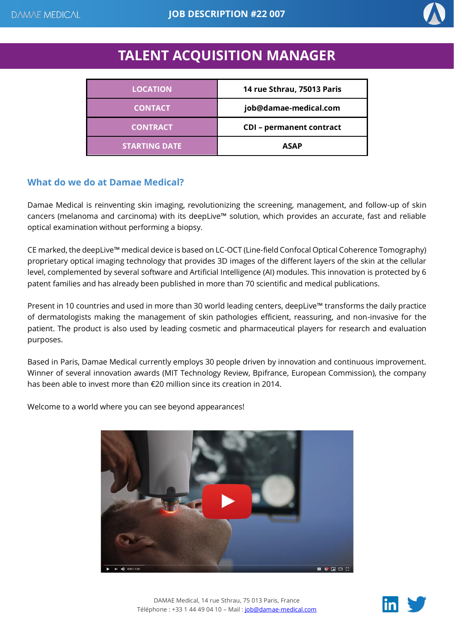

# **TALENT ACQUISITION MANAGER**

| <b>LOCATION</b>      | 14 rue Sthrau, 75013 Paris      |
|----------------------|---------------------------------|
| <b>CONTACT</b>       | job@damae-medical.com           |
| <b>CONTRACT</b>      | <b>CDI</b> - permanent contract |
| <b>STARTING DATE</b> | <b>ASAP</b>                     |

## **What do we do at Damae Medical?**

Damae Medical is reinventing skin imaging, revolutionizing the screening, management, and follow-up of skin cancers (melanoma and carcinoma) with its deepLive™ solution, which provides an accurate, fast and reliable optical examination without performing a biopsy.

CE marked, the deepLive™ medical device is based on LC-OCT (Line-field Confocal Optical Coherence Tomography) proprietary optical imaging technology that provides 3D images of the different layers of the skin at the cellular level, complemented by several software and Artificial Intelligence (AI) modules. This innovation is protected by 6 patent families and has already been published in more than 70 scientific and medical publications.

Present in 10 countries and used in more than 30 world leading centers, deepLive™ transforms the daily practice of dermatologists making the management of skin pathologies efficient, reassuring, and non-invasive for the patient. The product is also used by leading cosmetic and pharmaceutical players for research and evaluation purposes.

Based in Paris, Damae Medical currently employs 30 people driven by innovation and continuous improvement. Winner of several innovation awards (MIT Technology Review, Bpifrance, European Commission), the company has been able to invest more than €20 million since its creation in 2014.

Welcome to a world where you can see beyond appearances!